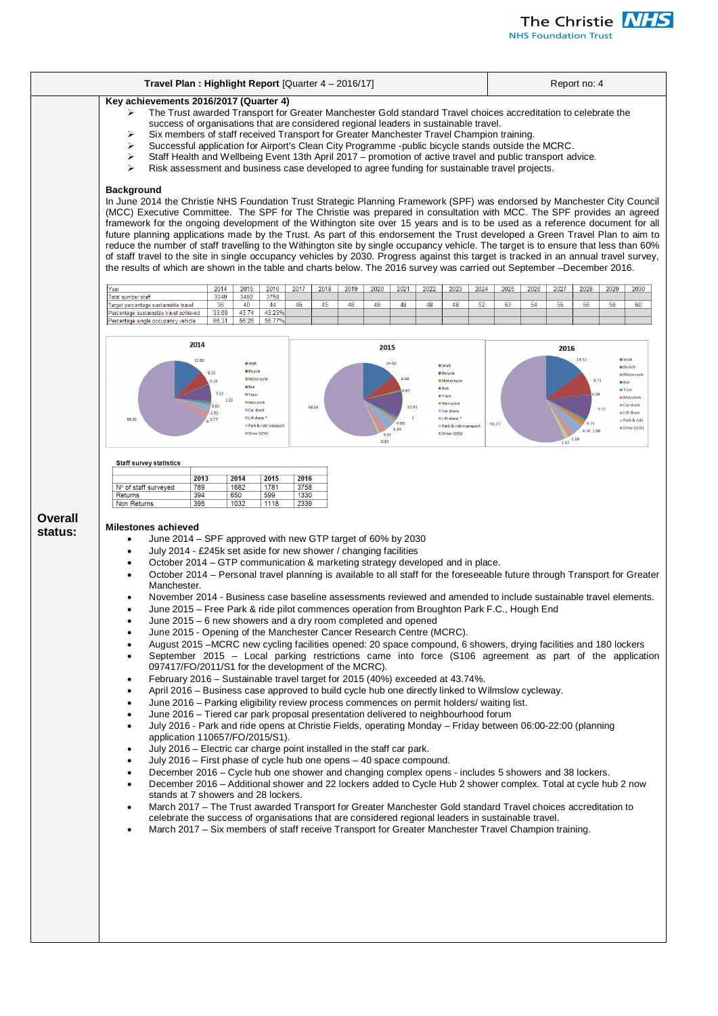

**NHS Foundation Trust** 

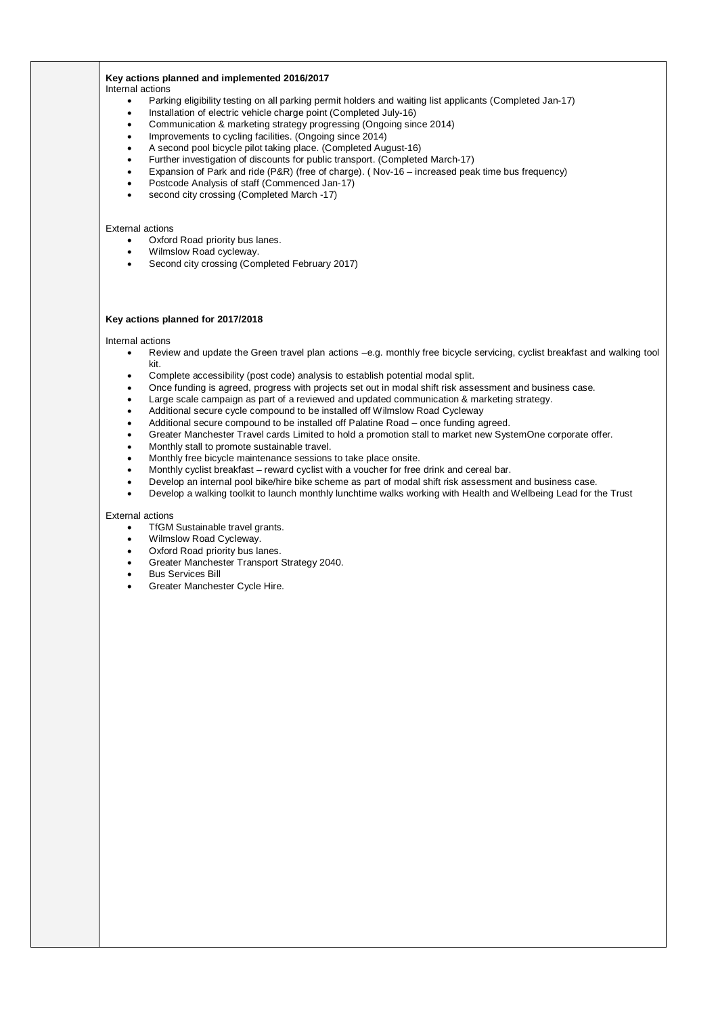# **Key actions planned and implemented 2016/2017**

Internal actions

- Parking eligibility testing on all parking permit holders and waiting list applicants (Completed Jan-17)
- Installation of electric vehicle charge point (Completed July-16)
- Communication & marketing strategy progressing (Ongoing since 2014)
- Improvements to cycling facilities. (Ongoing since 2014)
- A second pool bicycle pilot taking place. (Completed August-16)
- Further investigation of discounts for public transport. (Completed March-17)
- Expansion of Park and ride (P&R) (free of charge). (Nov-16 increased peak time bus frequency)
- Postcode Analysis of staff (Commenced Jan-17)
- second city crossing (Completed March -17)

# External actions

- Oxford Road priority bus lanes.
- Wilmslow Road cycleway.
- **•** Second city crossing (Completed February 2017)

## **Key actions planned for 2017/2018**

Internal actions

- Review and update the Green travel plan actions –e.g. monthly free bicycle servicing, cyclist breakfast and walking tool kit.
- Complete accessibility (post code) analysis to establish potential modal split.
- Once funding is agreed, progress with projects set out in modal shift risk assessment and business case.
- Large scale campaign as part of a reviewed and updated communication & marketing strategy.
- Additional secure cycle compound to be installed off Wilmslow Road Cycleway
- Additional secure compound to be installed off Palatine Road once funding agreed.
- Greater Manchester Travel cards Limited to hold a promotion stall to market new SystemOne corporate offer.
- Monthly stall to promote sustainable travel.
- x Monthly free bicycle maintenance sessions to take place onsite.
- Monthly cyclist breakfast reward cyclist with a voucher for free drink and cereal bar.
- Develop an internal pool bike/hire bike scheme as part of modal shift risk assessment and business case.
- Develop a walking toolkit to launch monthly lunchtime walks working with Health and Wellbeing Lead for the Trust

## External actions

- **TfGM Sustainable travel grants.**
- Wilmslow Road Cycleway.
- Oxford Road priority bus lanes.
- Greater Manchester Transport Strategy 2040.
- Bus Services Bill
- Greater Manchester Cycle Hire.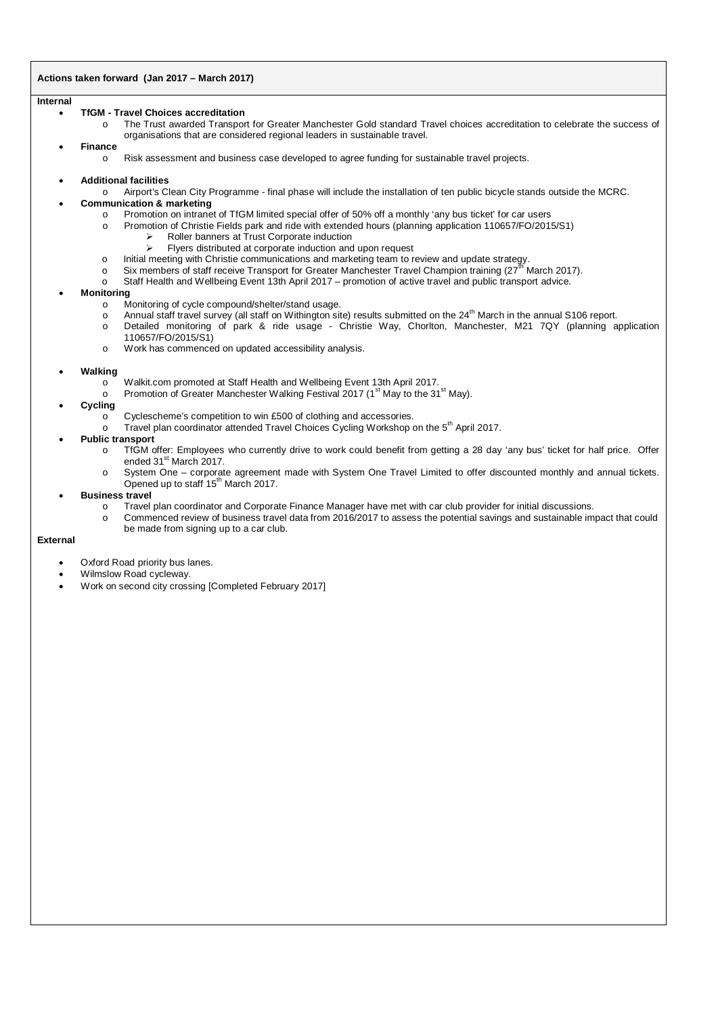# **Actions taken forward (Jan 2017 – March 2017)**

### **Internal**

### x **TfGM - Travel Choices accreditation**

o The Trust awarded Transport for Greater Manchester Gold standard Travel choices accreditation to celebrate the success of organisations that are considered regional leaders in sustainable travel.

## x **Finance**

- o Risk assessment and business case developed to agree funding for sustainable travel projects.
- x **Additional facilities**
	- o Airport's Clean City Programme final phase will include the installation of ten public bicycle stands outside the MCRC.

# **Communication & marketing**

- o Promotion on intranet of TfGM limited special offer of 50% off a monthly 'any bus ticket' for car users
- o Promotion of Christie Fields park and ride with extended hours (planning application 110657/FO/2015/S1)
	- $\triangleright$  Roller banners at Trust Corporate induction<br> $\triangleright$  Fivers distributed at corporate induction and
	- ¾ Flyers distributed at corporate induction and upon request
- o Initial meeting with Christie communications and marketing team to review and update strategy.<br>
Six members of staff receive Transport for Greater Manchester Travel Champion training (27<sup>th</sup> N
- Six members of staff receive Transport for Greater Manchester Travel Champion training ( $27<sup>th</sup>$  March 2017).
- o Staff Health and Wellbeing Event 13th April 2017 promotion of active travel and public transport advice.

## **Monitoring**

- o Monitoring of cycle compound/shelter/stand usage.
- o Annual staff travel survey (all staff on Withington site) results submitted on the  $24^{\text{th}}$  March in the annual S106 report.
- o Detailed monitoring of park & ride usage Christie Way, Chorlton, Manchester, M21 7QY (planning application 110657/FO/2015/S1)
- o Work has commenced on updated accessibility analysis.

## x **Walking**

- o Walkit.com promoted at Staff Health and Wellbeing Event 13th April 2017.
- o Promotion of Greater Manchester Walking Festival 2017 (1<sup>st</sup> May to the 31<sup>st</sup> May).
- **Cycling** 
	- o Cyclescheme's competition to win £500 of clothing and accessories.
	- $\circ$  Travel plan coordinator attended Travel Choices Cycling Workshop on the 5<sup>th</sup> April 2017.

## **Public transport**

- o TfGM offer: Employees who currently drive to work could benefit from getting a 28 day 'any bus' ticket for half price. Offer ended 31<sup>st</sup> March 2017.
- o System One corporate agreement made with System One Travel Limited to offer discounted monthly and annual tickets. Opened up to staff 15<sup>th</sup> March 2017.

#### **Business travel**

- o Travel plan coordinator and Corporate Finance Manager have met with car club provider for initial discussions.
- o Commenced review of business travel data from 2016/2017 to assess the potential savings and sustainable impact that could be made from signing up to a car club.

## **External**

- Oxford Road priority bus lanes.
- Wilmslow Road cycleway.
- Work on second city crossing [Completed February 2017]